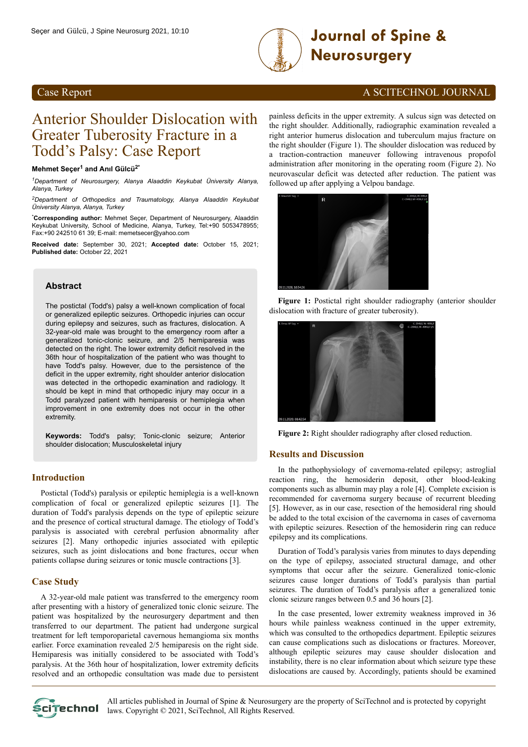

# **Journal of Spine & Neurosurgery**

### **Case Report** A SCITECHNOL JOURNAL

## Anterior Shoulder Dislocation with Greater Tuberosity Fracture in a Todd's Palsy: Case Report

#### **Mehmet Seçer<sup>1</sup> and Anıl Gülcü2\***

*<sup>1</sup>Department of Neurosurgery, Alanya Alaaddin Keykubat Üniversity Alanya, Alanya, Turkey*

*<sup>2</sup>Department of Orthopedics and Traumatology, Alanya Alaaddin Keykubat Üniversity Alanya, Alanya, Turkey*

\***Corresponding author:** Mehmet Seçer, Department of Neurosurgery, Alaaddin Keykubat University, School of Medicine, Alanya, Turkey, Tel:+90 5053478955; Fax:+90 242510 61 39; E-mail: memetsecer@yahoo.com

**Received date:** September 30, 2021; **Accepted date:** October 15, 2021; **Published date:** October 22, 2021

#### **Abstract**

The postictal (Todd's) palsy a well-known complication of focal or generalized epileptic seizures. Orthopedic injuries can occur during epilepsy and seizures, such as fractures, dislocation. A 32-year-old male was brought to the emergency room after a generalized tonic-clonic seizure, and 2/5 hemiparesia was detected on the right. The lower extremity deficit resolved in the 36th hour of hospitalization of the patient who was thought to have Todd's palsy. However, due to the persistence of the deficit in the upper extremity, right shoulder anterior dislocation was detected in the orthopedic examination and radiology. It should be kept in mind that orthopedic injury may occur in a Todd paralyzed patient with hemiparesis or hemiplegia when improvement in one extremity does not occur in the other extremity.

**Keywords:** Todd's palsy; Tonic-clonic seizure; Anterior shoulder dislocation; Musculoskeletal injury

#### **Introduction**

Postictal (Todd's) paralysis or epileptic hemiplegia is a well-known complication of focal or generalized epileptic seizures [1]. The duration of Todd's paralysis depends on the type of epileptic seizure and the presence of cortical structural damage. The etiology of Todd's paralysis is associated with cerebral perfusion abnormality after seizures [2]. Many orthopedic injuries associated with epileptic seizures, such as joint dislocations and bone fractures, occur when patients collapse during seizures or tonic muscle contractions [3].

#### **Case Study**

A 32-year-old male patient was transferred to the emergency room after presenting with a history of generalized tonic clonic seizure. The patient was hospitalized by the neurosurgery department and then transferred to our department. The patient had undergone surgical treatment for left temporoparietal cavernous hemangioma six months earlier. Force examination revealed 2/5 hemiparesis on the right side. Hemiparesis was initially considered to be associated with Todd's paralysis. At the 36th hour of hospitalization, lower extremity deficits resolved and an orthopedic consultation was made due to persistent

painless deficits in the upper extremity. A sulcus sign was detected on the right shoulder. Additionally, radiographic examination revealed a right anterior humerus dislocation and tuberculum majus fracture on the right shoulder (Figure 1). The shoulder dislocation was reduced by a traction-contraction maneuver following intravenous propofol administration after monitoring in the operating room (Figure 2). No neurovascular deficit was detected after reduction. The patient was followed up after applying a Velpou bandage.



**Figure 1:** Postictal right shoulder radiography (anterior shoulder dislocation with fracture of greater tuberosity).



**Figure 2:** Right shoulder radiography after closed reduction.

#### **Results and Discussion**

In the pathophysiology of cavernoma-related epilepsy; astroglial reaction ring, the hemosiderin deposit, other blood-leaking components such as albumin may play a role [4]. Complete excision is recommended for cavernoma surgery because of recurrent bleeding [5]. However, as in our case, resection of the hemosideral ring should be added to the total excision of the cavernoma in cases of cavernoma with epileptic seizures. Resection of the hemosiderin ring can reduce epilepsy and its complications.

Duration of Todd's paralysis varies from minutes to days depending on the type of epilepsy, associated structural damage, and other symptoms that occur after the seizure. Generalized tonic-clonic seizures cause longer durations of Todd's paralysis than partial seizures. The duration of Todd's paralysis after a generalized tonic clonic seizure ranges between 0.5 and 36 hours [2].

In the case presented, lower extremity weakness improved in 36 hours while painless weakness continued in the upper extremity, which was consulted to the orthopedics department. Epileptic seizures can cause complications such as dislocations or fractures. Moreover, although epileptic seizures may cause shoulder dislocation and instability, there is no clear information about which seizure type these dislocations are caused by. Accordingly, patients should be examined



All articles published in Journal of Spine & Neurosurgery are the property of SciTechnol and is protected by copyright **Clitechnol** laws. Copyright © 2021, SciTechnol, All Rights Reserved.